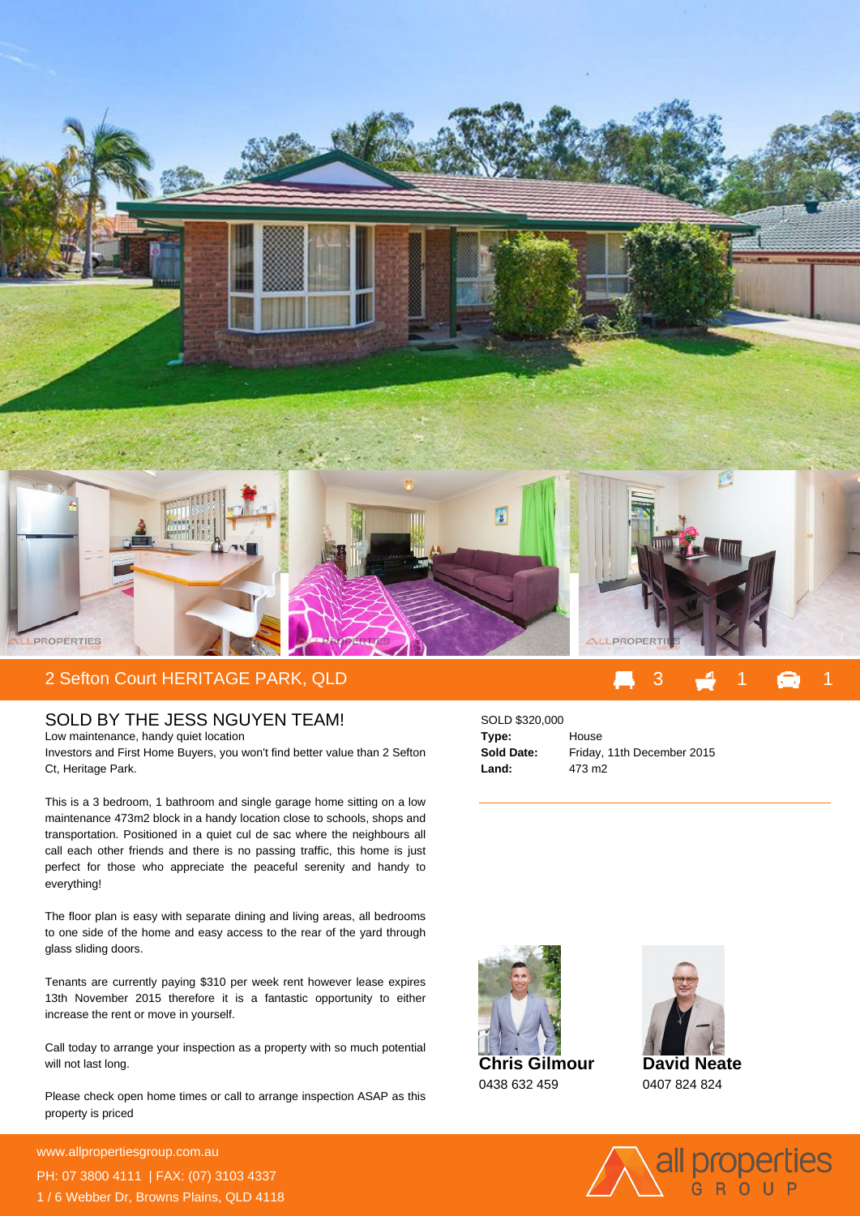

## 2 Sefton Court HERITAGE PARK, QLD

## SOLD BY THE JESS NGUYEN TEAM!

Low maintenance, handy quiet location Investors and First Home Buyers, you won't find better value than 2 Sefton Ct, Heritage Park.

This is a 3 bedroom, 1 bathroom and single garage home sitting on a low maintenance 473m2 block in a handy location close to schools, shops and transportation. Positioned in a quiet cul de sac where the neighbours all call each other friends and there is no passing traffic, this home is just perfect for those who appreciate the peaceful serenity and handy to everything!

The floor plan is easy with separate dining and living areas, all bedrooms to one side of the home and easy access to the rear of the yard through glass sliding doors.

Tenants are currently paying \$310 per week rent however lease expires 13th November 2015 therefore it is a fantastic opportunity to either increase the rent or move in yourself.

Call today to arrange your inspection as a property with so much potential will not last long.

Please check open home times or call to arrange inspection ASAP as this property is priced

**For more details please visit** www.allpropertiesgroup.com.au/<br>2398 PH: 07 3800 4111 | FAX: (07) 3103 4337 1 / 6 Webber Dr, Browns Plains, QLD 4118

## SOLD \$320,000 **Type:** House **Sold Date:** Friday, 11th December 2015 **Land:** 473 m2





**David Neate** 0407 824 824